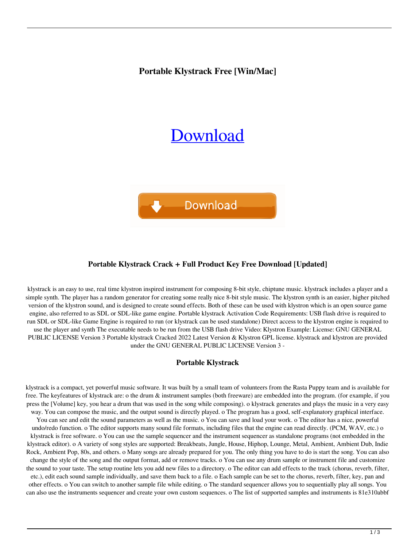**Portable Klystrack Free [Win/Mac]**

# [Download](http://evacdir.com/erectile/tuttle.faints.pantomimes.ZG93bmxvYWR8WEI1Tm1OdU0zeDhNVFkxTkRRek5qWTFPSHg4TWpVNU1IeDhLRTBwSUZkdmNtUndjbVZ6Y3lCYldFMU1VbEJESUZZeUlGQkVSbDA/kidman/UG9ydGFibGUga2x5c3RyYWNrUG9/)



## **Portable Klystrack Crack + Full Product Key Free Download [Updated]**

klystrack is an easy to use, real time klystron inspired instrument for composing 8-bit style, chiptune music. klystrack includes a player and a simple synth. The player has a random generator for creating some really nice 8-bit style music. The klystron synth is an easier, higher pitched version of the klystron sound, and is designed to create sound effects. Both of these can be used with klystron which is an open source game engine, also referred to as SDL or SDL-like game engine. Portable klystrack Activation Code Requirements: USB flash drive is required to run SDL or SDL-like Game Engine is required to run (or klystrack can be used standalone) Direct access to the klystron engine is required to use the player and synth The executable needs to be run from the USB flash drive Video: Klystron Example: License: GNU GENERAL PUBLIC LICENSE Version 3 Portable klystrack Cracked 2022 Latest Version & Klystron GPL license. klystrack and klystron are provided under the GNU GENERAL PUBLIC LICENSE Version 3 -

#### **Portable Klystrack**

klystrack is a compact, yet powerful music software. It was built by a small team of volunteers from the Rasta Puppy team and is available for free. The keyfeatures of klystrack are: o the drum & instrument samples (both freeware) are embedded into the program. (for example, if you press the [Volume] key, you hear a drum that was used in the song while composing). o klystrack generates and plays the music in a very easy way. You can compose the music, and the output sound is directly played. o The program has a good, self-explanatory graphical interface. You can see and edit the sound parameters as well as the music. o You can save and load your work. o The editor has a nice, powerful undo/redo function. o The editor supports many sound file formats, including files that the engine can read directly. (PCM, WAV, etc.) o klystrack is free software. o You can use the sample sequencer and the instrument sequencer as standalone programs (not embedded in the klystrack editor). o A variety of song styles are supported: Breakbeats, Jungle, House, Hiphop, Lounge, Metal, Ambient, Ambient Dub, Indie Rock, Ambient Pop, 80s, and others. o Many songs are already prepared for you. The only thing you have to do is start the song. You can also change the style of the song and the output format, add or remove tracks. o You can use any drum sample or instrument file and customize the sound to your taste. The setup routine lets you add new files to a directory. o The editor can add effects to the track (chorus, reverb, filter, etc.), edit each sound sample individually, and save them back to a file. o Each sample can be set to the chorus, reverb, filter, key, pan and other effects. o You can switch to another sample file while editing. o The standard sequencer allows you to sequentially play all songs. You can also use the instruments sequencer and create your own custom sequences. o The list of supported samples and instruments is 81e310abbf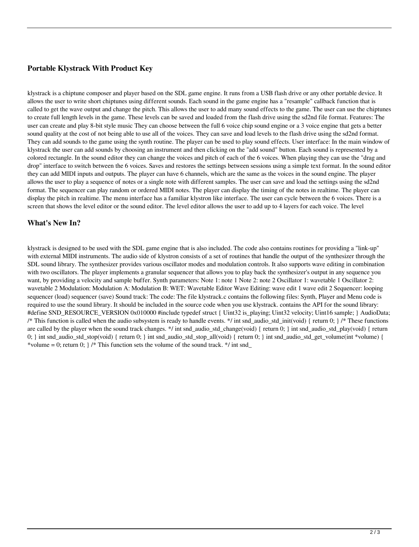#### **Portable Klystrack With Product Key**

klystrack is a chiptune composer and player based on the SDL game engine. It runs from a USB flash drive or any other portable device. It allows the user to write short chiptunes using different sounds. Each sound in the game engine has a "resample" callback function that is called to get the wave output and change the pitch. This allows the user to add many sound effects to the game. The user can use the chiptunes to create full length levels in the game. These levels can be saved and loaded from the flash drive using the sd2nd file format. Features: The user can create and play 8-bit style music They can choose between the full 6 voice chip sound engine or a 3 voice engine that gets a better sound quality at the cost of not being able to use all of the voices. They can save and load levels to the flash drive using the sd2nd format. They can add sounds to the game using the synth routine. The player can be used to play sound effects. User interface: In the main window of klystrack the user can add sounds by choosing an instrument and then clicking on the "add sound" button. Each sound is represented by a colored rectangle. In the sound editor they can change the voices and pitch of each of the 6 voices. When playing they can use the "drag and drop" interface to switch between the 6 voices. Saves and restores the settings between sessions using a simple text format. In the sound editor they can add MIDI inputs and outputs. The player can have 6 channels, which are the same as the voices in the sound engine. The player allows the user to play a sequence of notes or a single note with different samples. The user can save and load the settings using the sd2nd format. The sequencer can play random or ordered MIDI notes. The player can display the timing of the notes in realtime. The player can display the pitch in realtime. The menu interface has a familiar klystron like interface. The user can cycle between the 6 voices. There is a screen that shows the level editor or the sound editor. The level editor allows the user to add up to 4 layers for each voice. The level

#### **What's New In?**

klystrack is designed to be used with the SDL game engine that is also included. The code also contains routines for providing a "link-up" with external MIDI instruments. The audio side of klystron consists of a set of routines that handle the output of the synthesizer through the SDL sound library. The synthesizer provides various oscillator modes and modulation controls. It also supports wave editing in combination with two oscillators. The player implements a granular sequencer that allows you to play back the synthesizer's output in any sequence you want, by providing a velocity and sample buffer. Synth parameters: Note 1: note 1 Note 2: note 2 Oscillator 1: wavetable 1 Oscillator 2: wavetable 2 Modulation: Modulation A: Modulation B: WET: Wavetable Editor Wave Editing: wave edit 1 wave edit 2 Sequencer: looping sequencer (load) sequencer (save) Sound track: The code: The file klystrack.c contains the following files: Synth, Player and Menu code is required to use the sound library. It should be included in the source code when you use klystrack. contains the API for the sound library: #define SND\_RESOURCE\_VERSION 0x010000 #include typedef struct { Uint32 is\_playing; Uint32 velocity; Uint16 sample; } AudioData; /\* This function is called when the audio subsystem is ready to handle events. \*/ int snd\_audio\_std\_init(void) { return 0; } /\* These functions are called by the player when the sound track changes. \*/ int snd\_audio\_std\_change(void) { return 0; } int snd\_audio\_std\_play(void) { return 0; } int snd\_audio\_std\_stop(void) { return 0; } int snd\_audio\_std\_stop\_all(void) { return 0; } int snd\_audio\_std\_get\_volume(int \*volume) { \*volume = 0; return 0;  $\frac{1}{7}$  /\* This function sets the volume of the sound track. \*/ int snd